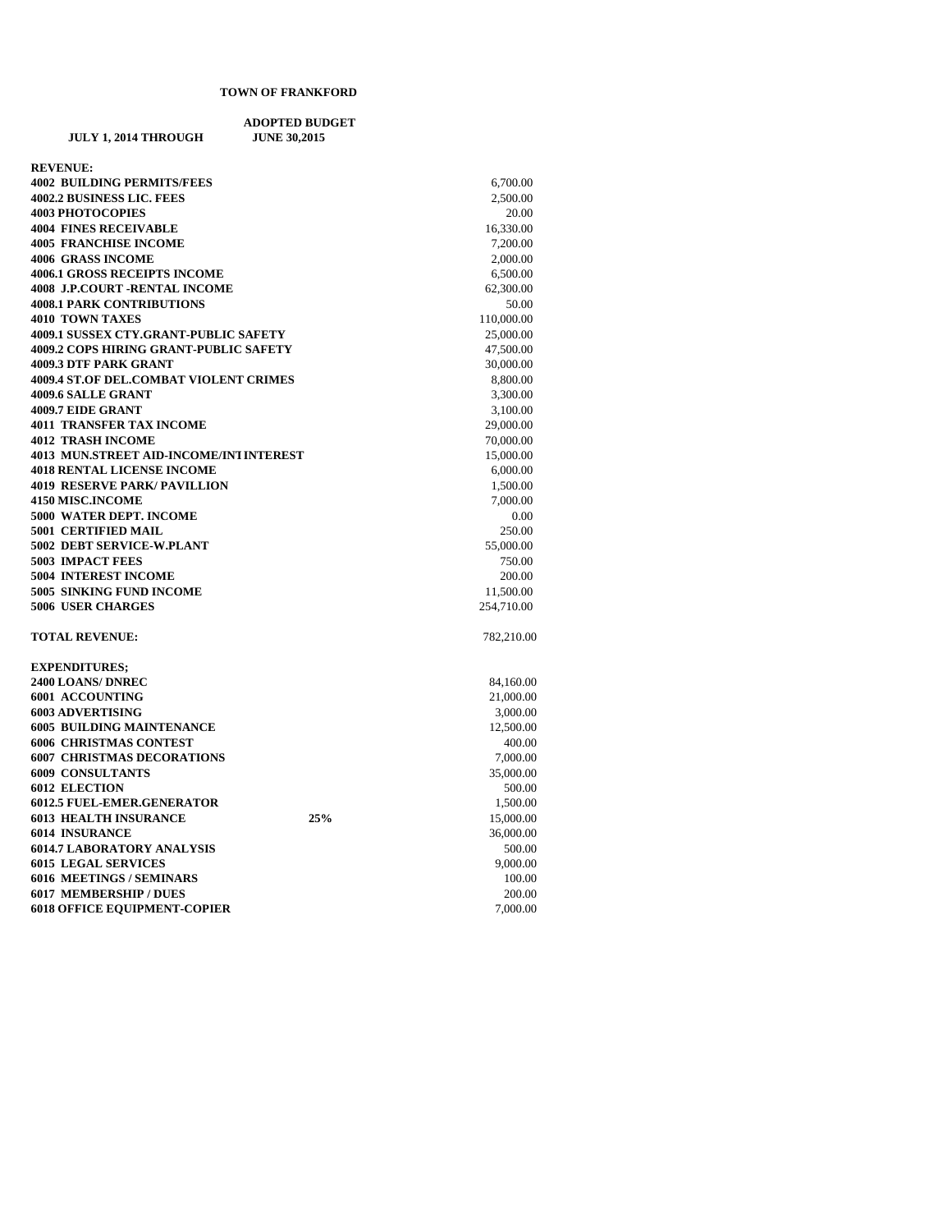## **ADOPTED BUDGET JULY 1, 2014 THROUGH REVENUE:**

| <b>4002 BUILDING PERMITS/FEES</b>                                   |     | 6,700.00   |
|---------------------------------------------------------------------|-----|------------|
| <b>4002.2 BUSINESS LIC. FEES</b>                                    |     | 2,500.00   |
| <b>4003 PHOTOCOPIES</b>                                             |     | 20.00      |
| <b>4004 FINES RECEIVABLE</b>                                        |     | 16,330.00  |
| <b>4005 FRANCHISE INCOME</b>                                        |     | 7,200.00   |
| <b>4006 GRASS INCOME</b>                                            |     | 2,000.00   |
| <b>4006.1 GROSS RECEIPTS INCOME</b>                                 |     | 6,500.00   |
| <b>4008 J.P.COURT -RENTAL INCOME</b>                                |     | 62,300.00  |
| <b>4008.1 PARK CONTRIBUTIONS</b>                                    |     | 50.00      |
| <b>4010 TOWN TAXES</b>                                              |     | 110,000.00 |
| 4009.1 SUSSEX CTY.GRANT-PUBLIC SAFETY                               |     | 25,000.00  |
| 4009.2 COPS HIRING GRANT-PUBLIC SAFETY                              |     | 47,500.00  |
| 4009.3 DTF PARK GRANT                                               |     | 30,000.00  |
| 4009.4 ST.OF DEL.COMBAT VIOLENT CRIMES                              |     | 8,800.00   |
| 4009.6 SALLE GRANT                                                  |     | 3,300.00   |
| 4009.7 EIDE GRANT                                                   |     | 3,100.00   |
| <b>4011 TRANSFER TAX INCOME</b>                                     |     | 29,000.00  |
| <b>4012 TRASH INCOME</b><br>4013 MUN.STREET AID-INCOME/INT INTEREST |     | 70,000.00  |
|                                                                     |     | 15,000.00  |
| <b>4018 RENTAL LICENSE INCOME</b>                                   |     | 6,000.00   |
| <b>4019 RESERVE PARK/ PAVILLION</b>                                 |     | 1,500.00   |
| 4150 MISC.INCOME                                                    |     | 7,000.00   |
| 5000 WATER DEPT. INCOME                                             |     | 0.00       |
| <b>5001 CERTIFIED MAIL</b>                                          |     | 250.00     |
| 5002 DEBT SERVICE-W.PLANT                                           |     | 55,000.00  |
| <b>5003 IMPACT FEES</b>                                             |     | 750.00     |
| <b>5004 INTEREST INCOME</b>                                         |     | 200.00     |
| 5005 SINKING FUND INCOME                                            |     | 11,500.00  |
| <b>5006 USER CHARGES</b>                                            |     | 254,710.00 |
| <b>TOTAL REVENUE:</b>                                               |     | 782,210.00 |
| <b>EXPENDITURES;</b>                                                |     |            |
| 2400 LOANS/ DNREC                                                   |     | 84,160.00  |
| 6001 ACCOUNTING                                                     |     | 21,000.00  |
| <b>6003 ADVERTISING</b>                                             |     | 3,000.00   |
| <b>6005 BUILDING MAINTENANCE</b>                                    |     | 12,500.00  |
| <b>6006 CHRISTMAS CONTEST</b>                                       |     | 400.00     |
| <b>6007 CHRISTMAS DECORATIONS</b>                                   |     | 7,000.00   |
| <b>6009 CONSULTANTS</b>                                             |     | 35,000.00  |
| <b>6012 ELECTION</b>                                                |     | 500.00     |
| <b>6012.5 FUEL-EMER.GENERATOR</b>                                   |     | 1,500.00   |
| <b>6013 HEALTH INSURANCE</b>                                        | 25% | 15,000.00  |
| <b>6014 INSURANCE</b>                                               |     | 36,000.00  |
| <b>6014.7 LABORATORY ANALYSIS</b>                                   |     | 500.00     |
| <b>6015 LEGAL SERVICES</b>                                          |     | 9,000.00   |
| <b>6016 MEETINGS / SEMINARS</b>                                     |     | 100.00     |
| <b>6017 MEMBERSHIP / DUES</b>                                       |     | 200.00     |
| <b>6018 OFFICE EQUIPMENT-COPIER</b>                                 |     | 7,000.00   |